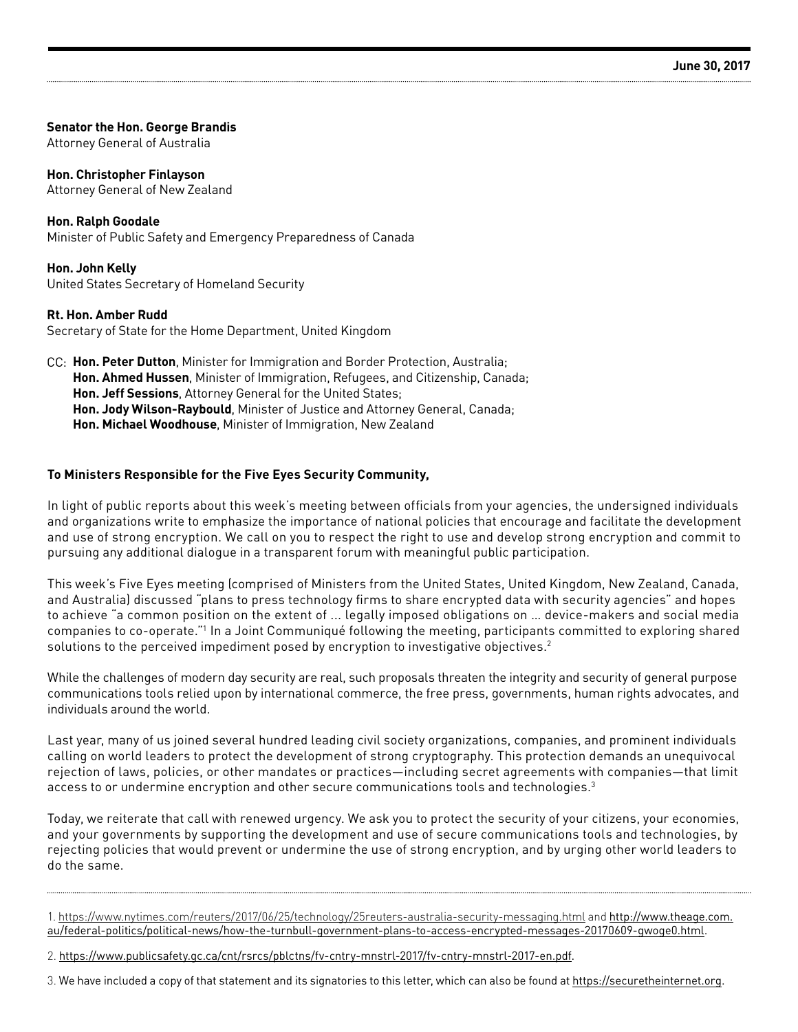#### **Senator the Hon. George Brandis**

Attorney General of Australia

#### **Hon. Christopher Finlayson**

Attorney General of New Zealand

#### **Hon. Ralph Goodale**

Minister of Public Safety and Emergency Preparedness of Canada

## **Hon. John Kelly**

United States Secretary of Homeland Security

#### **Rt. Hon. Amber Rudd**

Secretary of State for the Home Department, United Kingdom

**Hon. Peter Dutton**, Minister for Immigration and Border Protection, Australia; CC:**Hon. Ahmed Hussen**, Minister of Immigration, Refugees, and Citizenship, Canada; **Hon. Jeff Sessions**, Attorney General for the United States; **Hon. Jody Wilson-Raybould**, Minister of Justice and Attorney General, Canada; **Hon. Michael Woodhouse**, Minister of Immigration, New Zealand

#### **To Ministers Responsible for the Five Eyes Security Community,**

In light of public reports about this week's meeting between officials from your agencies, the undersigned individuals and organizations write to emphasize the importance of national policies that encourage and facilitate the development and use of strong encryption. We call on you to respect the right to use and develop strong encryption and commit to pursuing any additional dialogue in a transparent forum with meaningful public participation.

This week's Five Eyes meeting (comprised of Ministers from the United States, United Kingdom, New Zealand, Canada, and Australia) discussed "plans to press technology firms to share encrypted data with security agencies" and hopes to achieve "a common position on the extent of ... legally imposed obligations on … device-makers and social media companies to co-operate."1 In a Joint Communiqué following the meeting, participants committed to exploring shared solutions to the perceived impediment posed by encryption to investigative objectives.<sup>2</sup>

While the challenges of modern day security are real, such proposals threaten the integrity and security of general purpose communications tools relied upon by international commerce, the free press, governments, human rights advocates, and individuals around the world.

Last year, many of us joined several hundred leading civil society organizations, companies, and prominent individuals calling on world leaders to protect the development of strong cryptography. This protection demands an unequivocal rejection of laws, policies, or other mandates or practices—including secret agreements with companies—that limit access to or undermine encryption and other secure communications tools and technologies.<sup>3</sup>

Today, we reiterate that call with renewed urgency. We ask you to protect the security of your citizens, your economies, and your governments by supporting the development and use of secure communications tools and technologies, by rejecting policies that would prevent or undermine the use of strong encryption, and by urging other world leaders to do the same.

<sup>1.</sup><https://www.nytimes.com/reuters/2017/06/25/technology/25reuters-australia-security-messaging.html> and [http://www.theage.com.](http://www.theage.com.au/federal-politics/political-news/how-the-turnbull-government-plans-to-access-encrypted-messages-20170609-gwoge0.html) [au/federal-politics/political-news/how-the-turnbull-government-plans-to-access-encrypted-messages-20170609-gwoge0.html.](http://www.theage.com.au/federal-politics/political-news/how-the-turnbull-government-plans-to-access-encrypted-messages-20170609-gwoge0.html)

<sup>2.</sup> [https://www.publicsafety.gc.ca/cnt/rsrcs/pblctns/fv-cntry-mnstrl-2017/fv-cntry-mnstrl-2017-en.pdf.](https://www.publicsafety.gc.ca/cnt/rsrcs/pblctns/fv-cntry-mnstrl-2017/fv-cntry-mnstrl-2017-en.pdf)

<sup>3.</sup> We have included a copy of that statement and its signatories to this letter, which can also be found at [https://securetheinternet.org.](https://securetheinternet.org)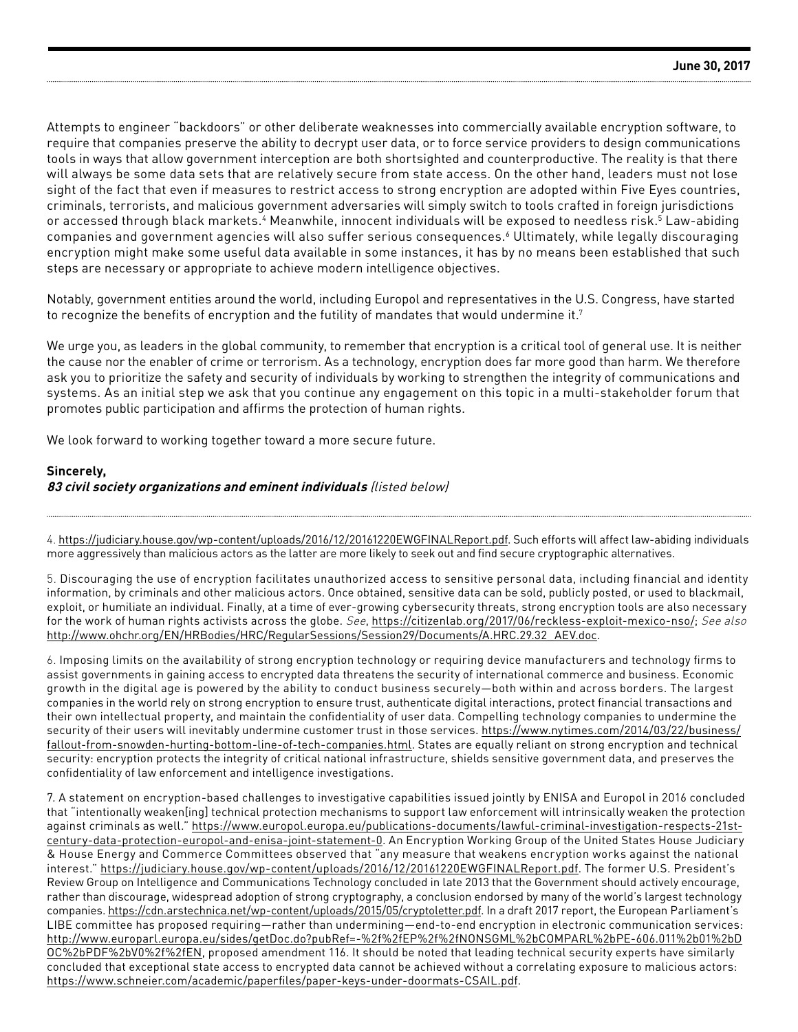Attempts to engineer "backdoors" or other deliberate weaknesses into commercially available encryption software, to require that companies preserve the ability to decrypt user data, or to force service providers to design communications tools in ways that allow government interception are both shortsighted and counterproductive. The reality is that there will always be some data sets that are relatively secure from state access. On the other hand, leaders must not lose sight of the fact that even if measures to restrict access to strong encryption are adopted within Five Eyes countries, criminals, terrorists, and malicious government adversaries will simply switch to tools crafted in foreign jurisdictions or accessed through black markets.<sup>4</sup> Meanwhile, innocent individuals will be exposed to needless risk.<sup>5</sup> Law-abiding companies and government agencies will also suffer serious consequences.6 Ultimately, while legally discouraging encryption might make some useful data available in some instances, it has by no means been established that such steps are necessary or appropriate to achieve modern intelligence objectives.

Notably, government entities around the world, including Europol and representatives in the U.S. Congress, have started to recognize the benefits of encryption and the futility of mandates that would undermine it.<sup>7</sup>

We urge you, as leaders in the global community, to remember that encryption is a critical tool of general use. It is neither the cause nor the enabler of crime or terrorism. As a technology, encryption does far more good than harm. We therefore ask you to prioritize the safety and security of individuals by working to strengthen the integrity of communications and systems. As an initial step we ask that you continue any engagement on this topic in a multi-stakeholder forum that promotes public participation and affirms the protection of human rights.

We look forward to working together toward a more secure future.

# **Sincerely,**

#### **83 civil society organizations and eminent individuals** (listed below)

4. [https://judiciary.house.gov/wp-content/uploads/2016/12/20161220EWGFINALReport.pdf.](https://judiciary.house.gov/wp-content/uploads/2016/12/20161220EWGFINALReport.pdf) Such efforts will affect law-abiding individuals more aggressively than malicious actors as the latter are more likely to seek out and find secure cryptographic alternatives.

5. Discouraging the use of encryption facilitates unauthorized access to sensitive personal data, including financial and identity information, by criminals and other malicious actors. Once obtained, sensitive data can be sold, publicly posted, or used to blackmail, exploit, or humiliate an individual. Finally, at a time of ever-growing cybersecurity threats, strong encryption tools are also necessary for the work of human rights activists across the globe. See, [https://citizenlab.org/2017/06/reckless-exploit-mexico-nso/;](https://citizenlab.org/2017/06/reckless-exploit-mexico-nso/; See also http://www.ohchr.org/EN/HRBodi) See also [http://www.ohchr.org/EN/HRBodies/HRC/RegularSessions/Session29/Documents/A.HRC.29.32\\_AEV.doc](https://citizenlab.org/2017/06/reckless-exploit-mexico-nso/; See also http://www.ohchr.org/EN/HRBodi).

6. Imposing limits on the availability of strong encryption technology or requiring device manufacturers and technology firms to assist governments in gaining access to encrypted data threatens the security of international commerce and business. Economic growth in the digital age is powered by the ability to conduct business securely—both within and across borders. The largest companies in the world rely on strong encryption to ensure trust, authenticate digital interactions, protect financial transactions and their own intellectual property, and maintain the confidentiality of user data. Compelling technology companies to undermine the security of their users will inevitably undermine customer trust in those services. [https://www.nytimes.com/2014/03/22/business/](https://www.nytimes.com/2014/03/22/business/fallout-from-snowden-hurting-bottom-line-of-tech-compani) [fallout-from-snowden-hurting-bottom-line-of-tech-companies.html](https://www.nytimes.com/2014/03/22/business/fallout-from-snowden-hurting-bottom-line-of-tech-compani). States are equally reliant on strong encryption and technical security: encryption protects the integrity of critical national infrastructure, shields sensitive government data, and preserves the confidentiality of law enforcement and intelligence investigations.

7. A statement on encryption-based challenges to investigative capabilities issued jointly by ENISA and Europol in 2016 concluded that "intentionally weaken[ing] technical protection mechanisms to support law enforcement will intrinsically weaken the protection against criminals as well." [https://www.europol.europa.eu/publications-documents/lawful-criminal-investigation-respects-21st](https://www.europol.europa.eu/publications-documents/lawful-criminal-investigation-respects-21st-cen)[century-data-protection-europol-and-enisa-joint-statement-0.](https://www.europol.europa.eu/publications-documents/lawful-criminal-investigation-respects-21st-cen) An Encryption Working Group of the United States House Judiciary & House Energy and Commerce Committees observed that "any measure that weakens encryption works against the national interest." [https://judiciary.house.gov/wp-content/uploads/2016/12/20161220EWGFINALReport.pdf.](https://judiciary.house.gov/wp-content/uploads/2016/12/20161220EWGFINALReport.pdf) The former U.S. President's Review Group on Intelligence and Communications Technology concluded in late 2013 that the Government should actively encourage, rather than discourage, widespread adoption of strong cryptography, a conclusion endorsed by many of the world's largest technology companies.<https://cdn.arstechnica.net/wp-content/uploads/2015/05/cryptoletter.pdf>. In a draft 2017 report, the European Parliament's LIBE committee has proposed requiring—rather than undermining—end-to-end encryption in electronic communication services: [http://www.europarl.europa.eu/sides/getDoc.do?pubRef=-%2f%2fEP%2f%2fNONSGML%2bCOMPARL%2bPE-606.011%2b01%2bD](http://www.europarl.europa.eu/sides/getDoc.do?pubRef=-%2f%2fEP%2f%2fNONSGML%2bCOMPARL%2bPE-606.011%2) [OC%2bPDF%2bV0%2f%2fEN](http://www.europarl.europa.eu/sides/getDoc.do?pubRef=-%2f%2fEP%2f%2fNONSGML%2bCOMPARL%2bPE-606.011%2), proposed amendment 116. It should be noted that leading technical security experts have similarly concluded that exceptional state access to encrypted data cannot be achieved without a correlating exposure to malicious actors: <https://www.schneier.com/academic/paperfiles/paper-keys-under-doormats-CSAIL.pdf>.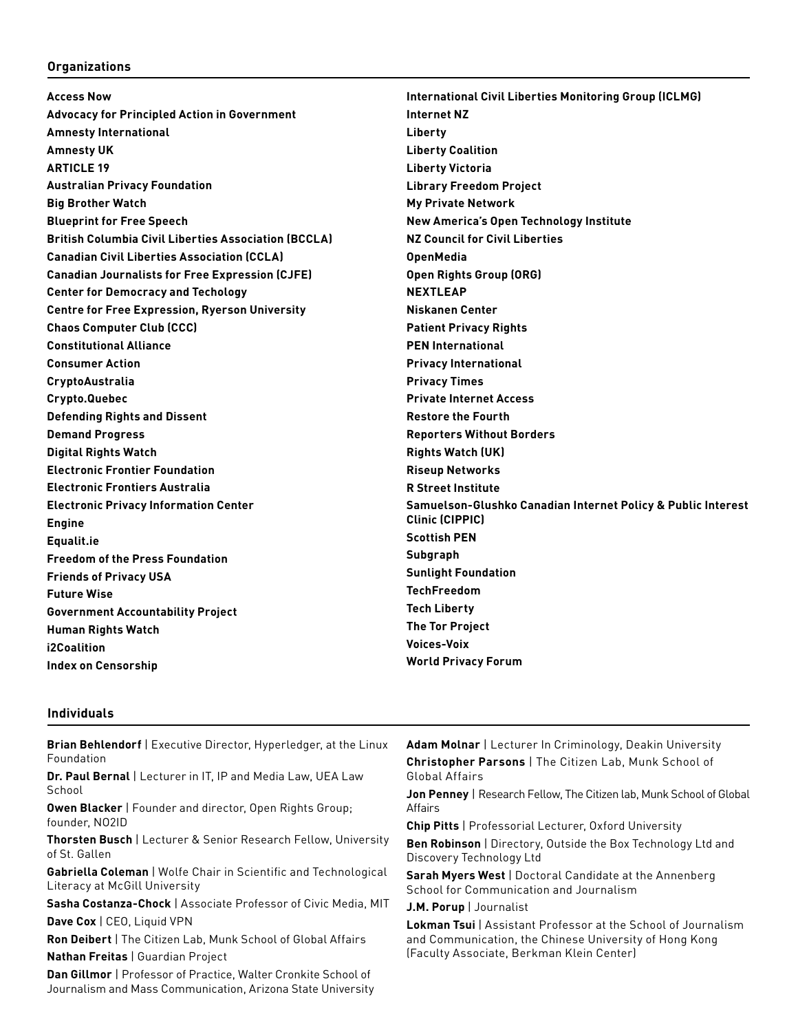# **Organizations**

| <b>Access Now</b>                                           | <b>International Civil Liberties Monitoring Group (ICLMG)</b> |
|-------------------------------------------------------------|---------------------------------------------------------------|
| <b>Advocacy for Principled Action in Government</b>         | <b>Internet NZ</b>                                            |
| <b>Amnesty International</b>                                | Liberty                                                       |
| <b>Amnesty UK</b>                                           | <b>Liberty Coalition</b>                                      |
| <b>ARTICLE 19</b>                                           | <b>Liberty Victoria</b>                                       |
| <b>Australian Privacy Foundation</b>                        | <b>Library Freedom Project</b>                                |
| <b>Big Brother Watch</b>                                    | <b>My Private Network</b>                                     |
| <b>Blueprint for Free Speech</b>                            | New America's Open Technology Institute                       |
| <b>British Columbia Civil Liberties Association (BCCLA)</b> | <b>NZ Council for Civil Liberties</b>                         |
| <b>Canadian Civil Liberties Association (CCLA)</b>          | <b>OpenMedia</b>                                              |
| <b>Canadian Journalists for Free Expression (CJFE)</b>      | Open Rights Group (ORG)                                       |
| <b>Center for Democracy and Techology</b>                   | <b>NEXTLEAP</b>                                               |
| <b>Centre for Free Expression, Ryerson University</b>       | Niskanen Center                                               |
| <b>Chaos Computer Club (CCC)</b>                            | <b>Patient Privacy Rights</b>                                 |
| <b>Constitutional Alliance</b>                              | <b>PEN International</b>                                      |
| <b>Consumer Action</b>                                      | <b>Privacy International</b>                                  |
| CryptoAustralia                                             | <b>Privacy Times</b>                                          |
| Crypto.Quebec                                               | <b>Private Internet Access</b>                                |
| <b>Defending Rights and Dissent</b>                         | <b>Restore the Fourth</b>                                     |
| <b>Demand Progress</b>                                      | <b>Reporters Without Borders</b>                              |
| <b>Digital Rights Watch</b>                                 | <b>Rights Watch (UK)</b>                                      |
| <b>Electronic Frontier Foundation</b>                       | <b>Riseup Networks</b>                                        |
| <b>Electronic Frontiers Australia</b>                       | <b>R Street Institute</b>                                     |
| <b>Electronic Privacy Information Center</b>                | Samuelson-Glushko Canadian Internet Policy & Public Interest  |
| <b>Engine</b>                                               | <b>Clinic (CIPPIC)</b>                                        |
| Equalit.ie                                                  | <b>Scottish PEN</b>                                           |
| <b>Freedom of the Press Foundation</b>                      | Subgraph                                                      |
| <b>Friends of Privacy USA</b>                               | <b>Sunlight Foundation</b>                                    |
| <b>Future Wise</b>                                          | <b>TechFreedom</b>                                            |
| <b>Government Accountability Project</b>                    | <b>Tech Liberty</b>                                           |
| <b>Human Rights Watch</b>                                   | <b>The Tor Project</b>                                        |
| i2Coalition                                                 | <b>Voices-Voix</b>                                            |
| <b>Index on Censorship</b>                                  | <b>World Privacy Forum</b>                                    |
|                                                             |                                                               |

## **Individuals**

| <b>Brian Behlendorf</b>   Executive Director, Hyperledger, at the Linux<br>Foundation                                         | <b>Adam Molnar</b>   Lecturer In Criminology, Deakin University                                                                                                             |
|-------------------------------------------------------------------------------------------------------------------------------|-----------------------------------------------------------------------------------------------------------------------------------------------------------------------------|
|                                                                                                                               | <b>Christopher Parsons   The Citizen Lab, Munk School of</b>                                                                                                                |
| Dr. Paul Bernal   Lecturer in IT. IP and Media Law, UEA Law                                                                   | Global Affairs<br>Jon Penney   Research Fellow, The Citizen lab, Munk School of Global                                                                                      |
| School                                                                                                                        |                                                                                                                                                                             |
| <b>Owen Blacker</b>   Founder and director, Open Rights Group;                                                                | Affairs                                                                                                                                                                     |
| founder, NO2ID                                                                                                                | <b>Chip Pitts</b>   Professorial Lecturer, Oxford University                                                                                                                |
| <b>Thorsten Busch   Lecturer &amp; Senior Research Fellow, University</b><br>of St. Gallen                                    | Ben Robinson   Directory, Outside the Box Technology Ltd and<br>Discovery Technology Ltd                                                                                    |
| Gabriella Coleman   Wolfe Chair in Scientific and Technological<br>Literacy at McGill University                              | Sarah Myers West   Doctoral Candidate at the Annenberg<br>School for Communication and Journalism                                                                           |
| <b>Sasha Costanza-Chock   Associate Professor of Civic Media, MIT</b>                                                         | J.M. Porup   Journalist                                                                                                                                                     |
| Dave Cox   CEO, Liquid VPN                                                                                                    | <b>Lokman Tsui</b>   Assistant Professor at the School of Journalism<br>and Communication, the Chinese University of Hong Kong<br>(Faculty Associate, Berkman Klein Center) |
| <b>Ron Deibert</b>   The Citizen Lab, Munk School of Global Affairs                                                           |                                                                                                                                                                             |
| <b>Nathan Freitas   Guardian Project</b>                                                                                      |                                                                                                                                                                             |
| Dan Gillmor   Professor of Practice, Walter Cronkite School of<br>Journalism and Mass Communication, Arizona State University |                                                                                                                                                                             |